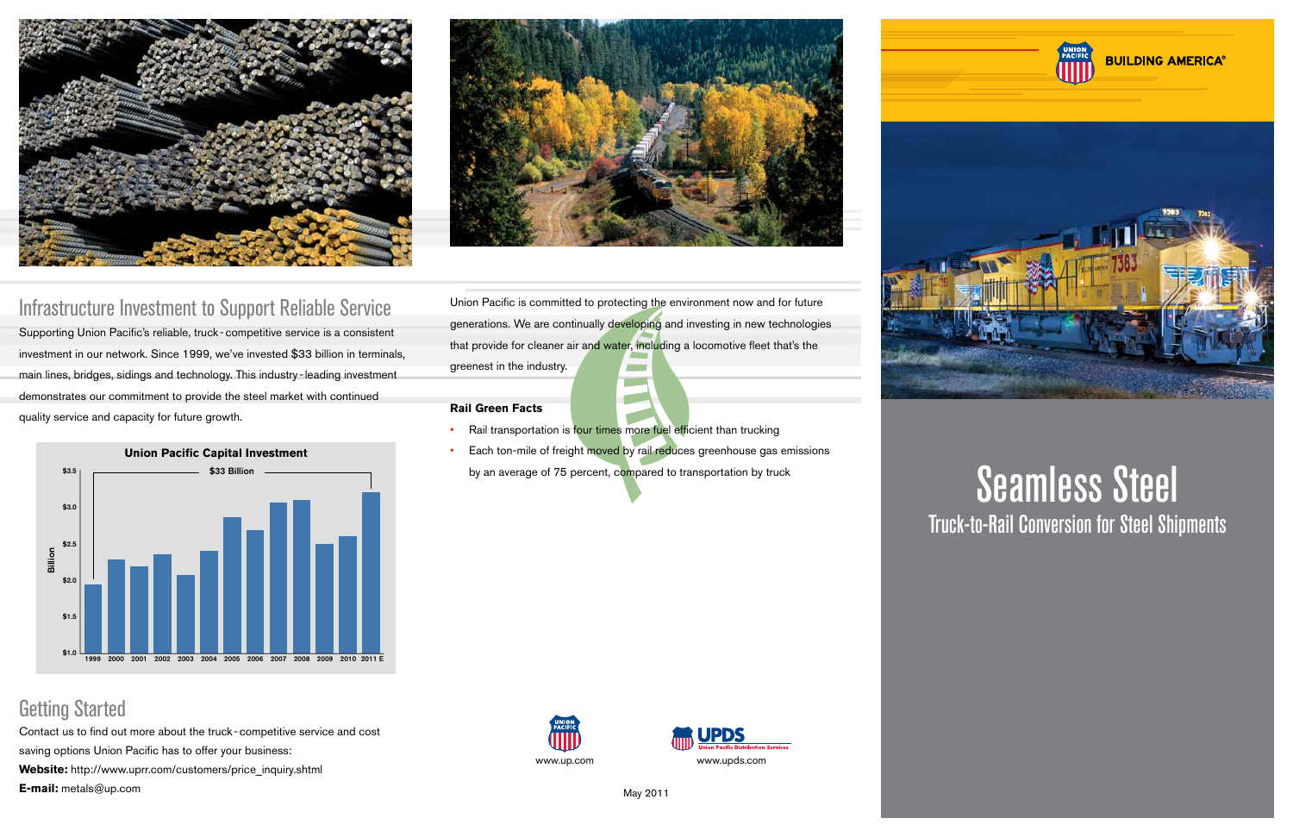## Getting Started

Contact us to find out more about the truck -competitive service and cost saving options Union Pacific has to offer your business:

**Website:** http://www.uprr.com/customers/price\_inquiry.shtml

**E-mail:** metals@up.com May 2011





Union Pacific is committed to protecting the environment now and for future generations. We are continually developing and investing in new technologies that provide for cleaner air and water, including a locomotive fleet that's the greenest in the industry.

**College** 

#### **Rail Green Facts**

- Rail transportation is four times more fuel efficient than trucking
- Each ton-mile of freight moved by rail reduces greenhouse gas emissions by an average of 75 percent, compared to transportation by truck







## Infrastructure Investment to Support Reliable Service

Supporting Union Pacific's reliable, truck -competitive service is a consistent investment in our network. Since 1999, we've invested \$33 billion in terminals, main lines, bridges, sidings and technology. This industry -leading investment demonstrates our commitment to provide the steel market with continued quality service and capacity for future growth.



# Seamless Steel Truck-to-Rail Conversion for Steel Shipments